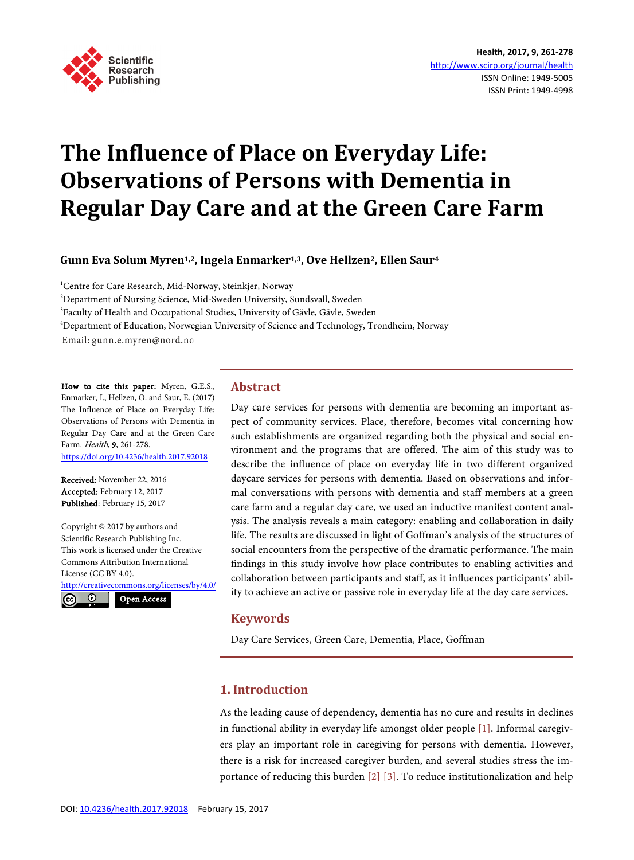

# **The Influence of Place on Everyday Life: Observations of Persons with Dementia in Regular Day Care and at the Green Care Farm**

**Gunn Eva Solum Myren1,2, Ingela Enmarker1,3, Ove Hellzen2, Ellen Saur4**

<sup>1</sup>Centre for Care Research, Mid-Norway, Steinkjer, Norway <sup>2</sup>Department of Nursing Science, Mid-Sweden University, Sundsvall, Sweden <sup>3</sup>Faculty of Health and Occupational Studies, University of Gävle, Gävle, Sweden 4 Department of Education, Norwegian University of Science and Technology, Trondheim, Norway Email: gunn.e.myren@nord.no

How to cite this paper: Myren, G.E.S., Enmarker, I., Hellzen, O. and Saur, E. (2017) The Influence of Place on Everyday Life: Observations of Persons with Dementia in Regular Day Care and at the Green Care Farm. Health, 9, 261-278. <https://doi.org/10.4236/health.2017.92018>

Received: November 22, 2016 Accepted: February 12, 2017 Published: February 15, 2017

Copyright © 2017 by authors and Scientific Research Publishing Inc. This work is licensed under the Creative Commons Attribution International License (CC BY 4.0).

<http://creativecommons.org/licenses/by/4.0/> Open Access



**Abstract**

Day care services for persons with dementia are becoming an important aspect of community services. Place, therefore, becomes vital concerning how such establishments are organized regarding both the physical and social environment and the programs that are offered. The aim of this study was to describe the influence of place on everyday life in two different organized daycare services for persons with dementia. Based on observations and informal conversations with persons with dementia and staff members at a green care farm and a regular day care, we used an inductive manifest content analysis. The analysis reveals a main category: enabling and collaboration in daily life. The results are discussed in light of Goffman's analysis of the structures of social encounters from the perspective of the dramatic performance. The main findings in this study involve how place contributes to enabling activities and collaboration between participants and staff, as it influences participants' ability to achieve an active or passive role in everyday life at the day care services.

## **Keywords**

Day Care Services, Green Care, Dementia, Place, Goffman

# **1. Introduction**

As the leading cause of dependency, dementia has no cure and results in declines in functional ability in everyday life amongst older people [\[1\].](#page-15-0) Informal caregivers play an important role in caregiving for persons with dementia. However, there is a risk for increased caregiver burden, and several studies stress the importance of reducing this burden [\[2\]](#page-15-1) [\[3\].](#page-15-2) To reduce institutionalization and help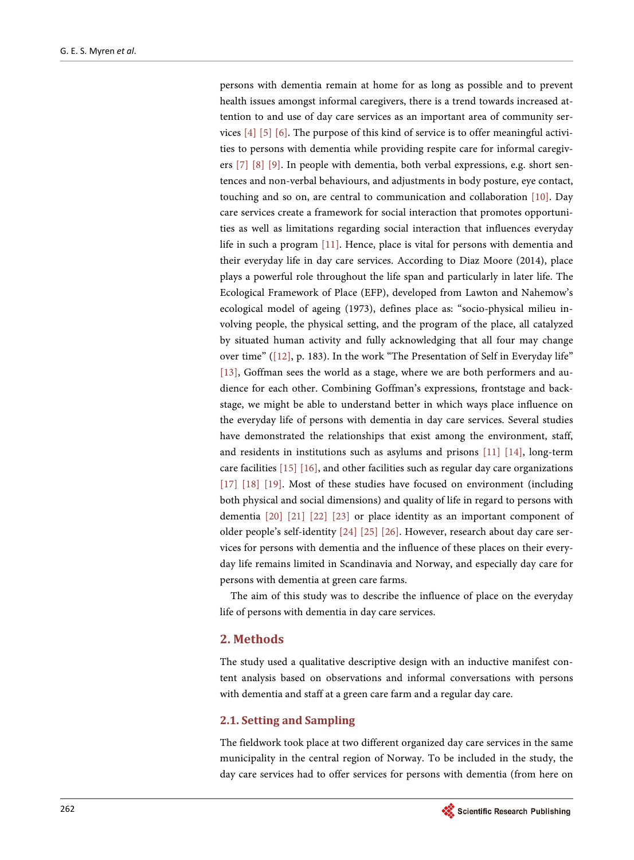persons with dementia remain at home for as long as possible and to prevent health issues amongst informal caregivers, there is a trend towards increased attention to and use of day care services as an important area of community services [\[4\]](#page-15-3) [\[5\]](#page-15-4) [\[6\].](#page-15-5) The purpose of this kind of service is to offer meaningful activities to persons with dementia while providing respite care for informal caregivers [\[7\]](#page-15-6) [\[8\]](#page-15-7) [\[9\].](#page-15-8) In people with dementia, both verbal expressions, e.g. short sentences and non-verbal behaviours, and adjustments in body posture, eye contact, touching and so on, are central to communication and collaboration [\[10\].](#page-15-9) Day care services create a framework for social interaction that promotes opportunities as well as limitations regarding social interaction that influences everyday life in such a program [\[11\].](#page-15-10) Hence, place is vital for persons with dementia and their everyday life in day care services. According to Diaz Moore (2014), place plays a powerful role throughout the life span and particularly in later life. The Ecological Framework of Place (EFP), developed from Lawton and Nahemow's ecological model of ageing (1973), defines place as: "socio-physical milieu involving people, the physical setting, and the program of the place, all catalyzed by situated human activity and fully acknowledging that all four may change over time" [\(\[12\],](#page-15-11) p. 183). In the work "The Presentation of Self in Everyday life" [\[13\],](#page-15-12) Goffman sees the world as a stage, where we are both performers and audience for each other. Combining Goffman's expressions, frontstage and backstage, we might be able to understand better in which ways place influence on the everyday life of persons with dementia in day care services. Several studies have demonstrated the relationships that exist among the environment, staff, and residents in institutions such as asylums and prisons [\[11\]](#page-15-10) [\[14\],](#page-15-13) long-term care facilities [\[15\]](#page-15-14) [\[16\],](#page-16-0) and other facilities such as regular day care organizations [\[17\]](#page-16-1) [\[18\]](#page-16-2) [\[19\].](#page-16-3) Most of these studies have focused on environment (including both physical and social dimensions) and quality of life in regard to persons with dementia [\[20\]](#page-16-4) [\[21\]](#page-16-5) [\[22\]](#page-16-6) [\[23\]](#page-16-7) or place identity as an important component of older people's self-identity [\[24\]](#page-16-8) [\[25\]](#page-16-9) [\[26\].](#page-16-10) However, research about day care services for persons with dementia and the influence of these places on their everyday life remains limited in Scandinavia and Norway, and especially day care for persons with dementia at green care farms.

The aim of this study was to describe the influence of place on the everyday life of persons with dementia in day care services.

## **2. Methods**

The study used a qualitative descriptive design with an inductive manifest content analysis based on observations and informal conversations with persons with dementia and staff at a green care farm and a regular day care.

# **2.1. Setting and Sampling**

The fieldwork took place at two different organized day care services in the same municipality in the central region of Norway. To be included in the study, the day care services had to offer services for persons with dementia (from here on

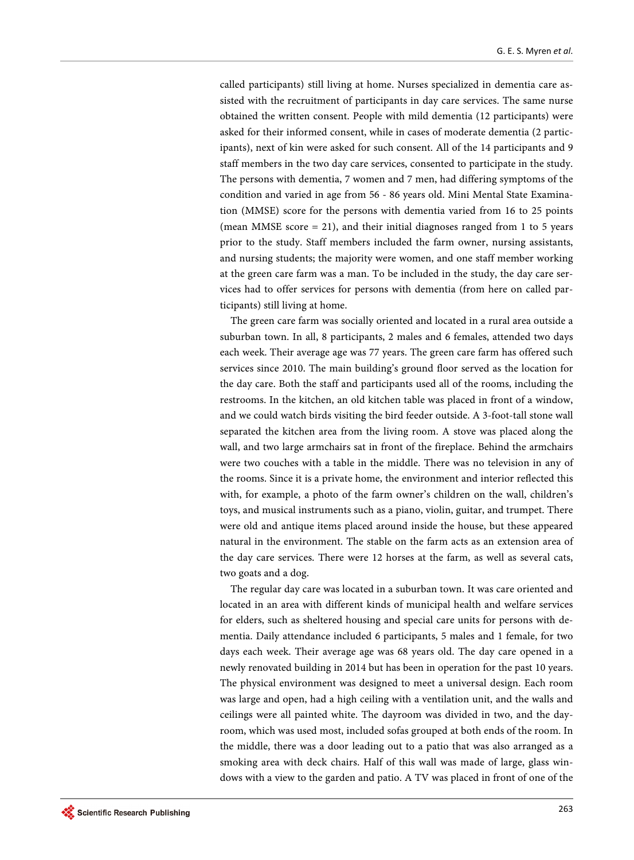called participants) still living at home. Nurses specialized in dementia care assisted with the recruitment of participants in day care services. The same nurse obtained the written consent. People with mild dementia (12 participants) were asked for their informed consent, while in cases of moderate dementia (2 participants), next of kin were asked for such consent. All of the 14 participants and 9 staff members in the two day care services, consented to participate in the study. The persons with dementia, 7 women and 7 men, had differing symptoms of the condition and varied in age from 56 - 86 years old. Mini Mental State Examination (MMSE) score for the persons with dementia varied from 16 to 25 points (mean MMSE score  $= 21$ ), and their initial diagnoses ranged from 1 to 5 years prior to the study. Staff members included the farm owner, nursing assistants, and nursing students; the majority were women, and one staff member working at the green care farm was a man. To be included in the study, the day care services had to offer services for persons with dementia (from here on called participants) still living at home.

The green care farm was socially oriented and located in a rural area outside a suburban town. In all, 8 participants, 2 males and 6 females, attended two days each week. Their average age was 77 years. The green care farm has offered such services since 2010. The main building's ground floor served as the location for the day care. Both the staff and participants used all of the rooms, including the restrooms. In the kitchen, an old kitchen table was placed in front of a window, and we could watch birds visiting the bird feeder outside. A 3-foot-tall stone wall separated the kitchen area from the living room. A stove was placed along the wall, and two large armchairs sat in front of the fireplace. Behind the armchairs were two couches with a table in the middle. There was no television in any of the rooms. Since it is a private home, the environment and interior reflected this with, for example, a photo of the farm owner's children on the wall, children's toys, and musical instruments such as a piano, violin, guitar, and trumpet. There were old and antique items placed around inside the house, but these appeared natural in the environment. The stable on the farm acts as an extension area of the day care services. There were 12 horses at the farm, as well as several cats, two goats and a dog.

The regular day care was located in a suburban town. It was care oriented and located in an area with different kinds of municipal health and welfare services for elders, such as sheltered housing and special care units for persons with dementia. Daily attendance included 6 participants, 5 males and 1 female, for two days each week. Their average age was 68 years old. The day care opened in a newly renovated building in 2014 but has been in operation for the past 10 years. The physical environment was designed to meet a universal design. Each room was large and open, had a high ceiling with a ventilation unit, and the walls and ceilings were all painted white. The dayroom was divided in two, and the dayroom, which was used most, included sofas grouped at both ends of the room. In the middle, there was a door leading out to a patio that was also arranged as a smoking area with deck chairs. Half of this wall was made of large, glass windows with a view to the garden and patio. A TV was placed in front of one of the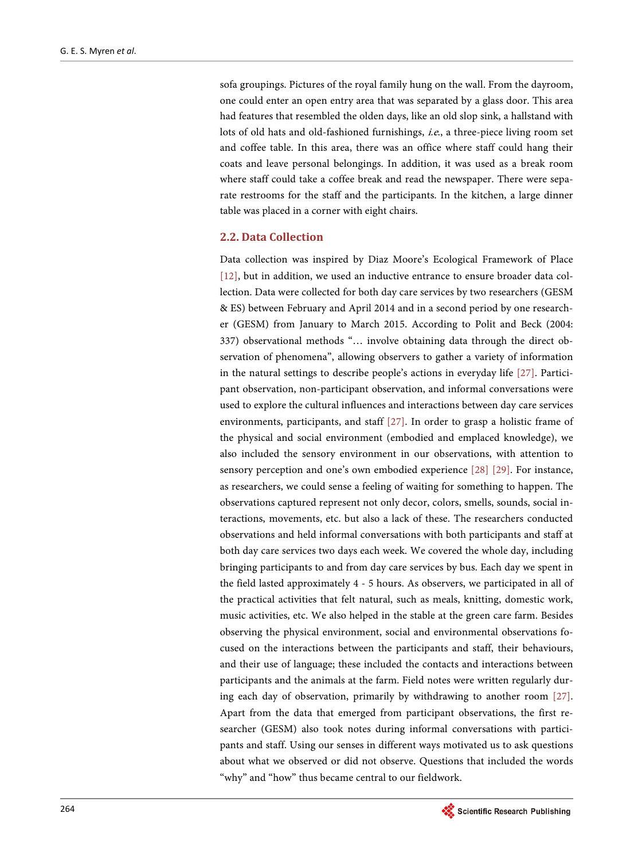sofa groupings. Pictures of the royal family hung on the wall. From the dayroom, one could enter an open entry area that was separated by a glass door. This area had features that resembled the olden days, like an old slop sink, a hallstand with lots of old hats and old-fashioned furnishings, i.e., a three-piece living room set and coffee table. In this area, there was an office where staff could hang their coats and leave personal belongings. In addition, it was used as a break room where staff could take a coffee break and read the newspaper. There were separate restrooms for the staff and the participants. In the kitchen, a large dinner table was placed in a corner with eight chairs.

## **2.2. Data Collection**

Data collection was inspired by Diaz Moore's Ecological Framework of Place [\[12\],](#page-15-11) but in addition, we used an inductive entrance to ensure broader data collection. Data were collected for both day care services by two researchers (GESM & ES) between February and April 2014 and in a second period by one researcher (GESM) from January to March 2015. According to Polit and Beck (2004: 337) observational methods "… involve obtaining data through the direct observation of phenomena", allowing observers to gather a variety of information in the natural settings to describe people's actions in everyday life [\[27\].](#page-16-11) Participant observation, non-participant observation, and informal conversations were used to explore the cultural influences and interactions between day care services environments, participants, and staff [\[27\].](#page-16-11) In order to grasp a holistic frame of the physical and social environment (embodied and emplaced knowledge), we also included the sensory environment in our observations, with attention to sensory perception and one's own embodied experience [\[28\]](#page-16-12) [\[29\].](#page-16-13) For instance, as researchers, we could sense a feeling of waiting for something to happen. The observations captured represent not only decor, colors, smells, sounds, social interactions, movements, etc. but also a lack of these. The researchers conducted observations and held informal conversations with both participants and staff at both day care services two days each week. We covered the whole day, including bringing participants to and from day care services by bus. Each day we spent in the field lasted approximately 4 - 5 hours. As observers, we participated in all of the practical activities that felt natural, such as meals, knitting, domestic work, music activities, etc. We also helped in the stable at the green care farm. Besides observing the physical environment, social and environmental observations focused on the interactions between the participants and staff, their behaviours, and their use of language; these included the contacts and interactions between participants and the animals at the farm. Field notes were written regularly during each day of observation, primarily by withdrawing to another room [\[27\].](#page-16-11)  Apart from the data that emerged from participant observations, the first researcher (GESM) also took notes during informal conversations with participants and staff. Using our senses in different ways motivated us to ask questions about what we observed or did not observe. Questions that included the words "why" and "how" thus became central to our fieldwork.

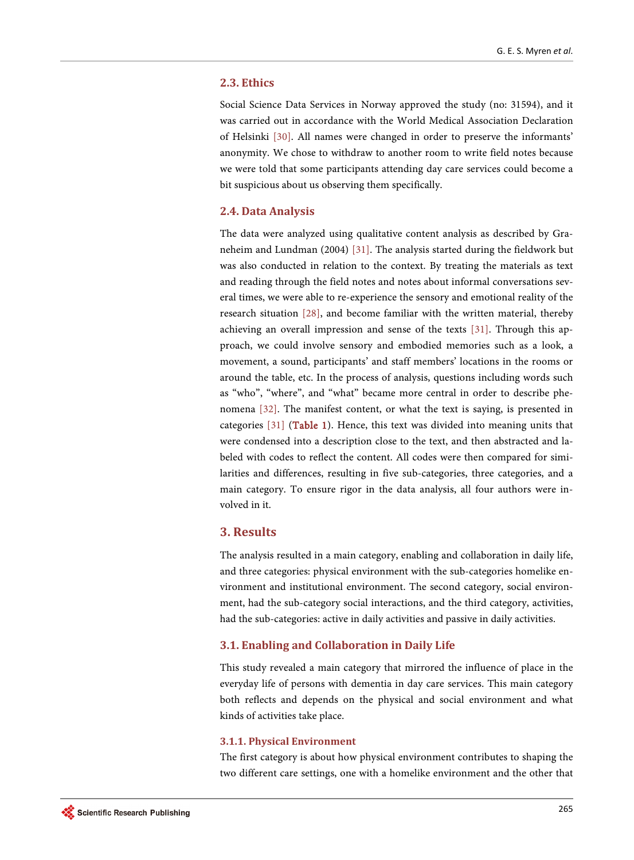#### **2.3. Ethics**

Social Science Data Services in Norway approved the study (no: 31594), and it was carried out in accordance with the World Medical Association Declaration of Helsinki [\[30\].](#page-16-14) All names were changed in order to preserve the informants' anonymity. We chose to withdraw to another room to write field notes because we were told that some participants attending day care services could become a bit suspicious about us observing them specifically.

## **2.4. Data Analysis**

The data were analyzed using qualitative content analysis as described by Graneheim and Lundman (2004) [\[31\].](#page-16-15) The analysis started during the fieldwork but was also conducted in relation to the context. By treating the materials as text and reading through the field notes and notes about informal conversations several times, we were able to re-experience the sensory and emotional reality of the research situation [\[28\],](#page-16-12) and become familiar with the written material, thereby achieving an overall impression and sense of the texts [\[31\].](#page-16-15) Through this approach, we could involve sensory and embodied memories such as a look, a movement, a sound, participants' and staff members' locations in the rooms or around the table, etc. In the process of analysis, questions including words such as "who", "where", and "what" became more central in order to describe phenomena [\[32\].](#page-16-16) The manifest content, or what the text is saying, is presented in categories [\[31\]](#page-16-15) [\(Table 1\)](#page-5-0). Hence, this text was divided into meaning units that were condensed into a description close to the text, and then abstracted and labeled with codes to reflect the content. All codes were then compared for similarities and differences, resulting in five sub-categories, three categories, and a main category. To ensure rigor in the data analysis, all four authors were involved in it.

## **3. Results**

The analysis resulted in a main category, enabling and collaboration in daily life, and three categories: physical environment with the sub-categories homelike environment and institutional environment. The second category, social environment, had the sub-category social interactions, and the third category, activities, had the sub-categories: active in daily activities and passive in daily activities.

#### **3.1. Enabling and Collaboration in Daily Life**

This study revealed a main category that mirrored the influence of place in the everyday life of persons with dementia in day care services. This main category both reflects and depends on the physical and social environment and what kinds of activities take place.

#### **3.1.1. Physical Environment**

The first category is about how physical environment contributes to shaping the two different care settings, one with a homelike environment and the other that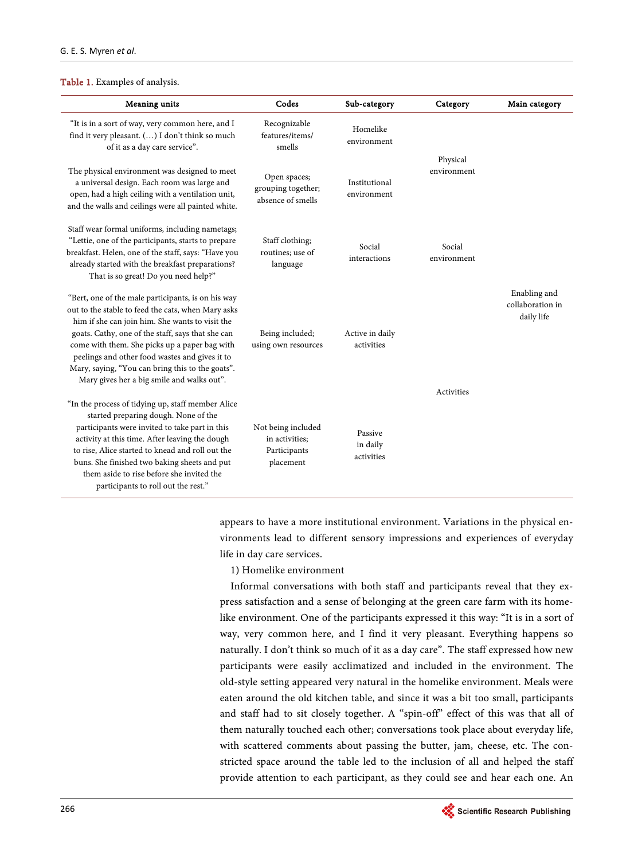#### <span id="page-5-0"></span>Table 1. Examples of analysis.

| <b>Meaning units</b>                                                                                                                                                                                                                                                                                                                                                                                                  | Codes                                                             | Sub-category                      | Category                | Main category                                  |
|-----------------------------------------------------------------------------------------------------------------------------------------------------------------------------------------------------------------------------------------------------------------------------------------------------------------------------------------------------------------------------------------------------------------------|-------------------------------------------------------------------|-----------------------------------|-------------------------|------------------------------------------------|
| "It is in a sort of way, very common here, and I<br>find it very pleasant. () I don't think so much<br>of it as a day care service".                                                                                                                                                                                                                                                                                  | Recognizable<br>features/items/<br>smells                         | Homelike<br>environment           |                         |                                                |
| The physical environment was designed to meet<br>a universal design. Each room was large and<br>open, had a high ceiling with a ventilation unit,<br>and the walls and ceilings were all painted white.                                                                                                                                                                                                               | Open spaces;<br>grouping together;<br>absence of smells           | Institutional<br>environment      | Physical<br>environment |                                                |
| Staff wear formal uniforms, including nametags;<br>"Lettie, one of the participants, starts to prepare<br>breakfast. Helen, one of the staff, says: "Have you<br>already started with the breakfast preparations?<br>That is so great! Do you need help?"                                                                                                                                                             | Staff clothing;<br>routines: use of<br>language                   | Social<br>interactions            | Social<br>environment   |                                                |
| "Bert, one of the male participants, is on his way<br>out to the stable to feed the cats, when Mary asks<br>him if she can join him. She wants to visit the<br>goats. Cathy, one of the staff, says that she can<br>come with them. She picks up a paper bag with<br>peelings and other food wastes and gives it to<br>Mary, saying, "You can bring this to the goats".<br>Mary gives her a big smile and walks out". | Being included;<br>using own resources                            | Active in daily<br>activities     |                         | Enabling and<br>collaboration in<br>daily life |
| "In the process of tidying up, staff member Alice<br>started preparing dough. None of the<br>participants were invited to take part in this<br>activity at this time. After leaving the dough<br>to rise, Alice started to knead and roll out the<br>buns. She finished two baking sheets and put<br>them aside to rise before she invited the<br>participants to roll out the rest."                                 | Not being included<br>in activities:<br>Participants<br>placement | Passive<br>in daily<br>activities | <b>Activities</b>       |                                                |

appears to have a more institutional environment. Variations in the physical environments lead to different sensory impressions and experiences of everyday life in day care services.

1) Homelike environment

Informal conversations with both staff and participants reveal that they express satisfaction and a sense of belonging at the green care farm with its homelike environment. One of the participants expressed it this way: "It is in a sort of way, very common here, and I find it very pleasant. Everything happens so naturally. I don't think so much of it as a day care". The staff expressed how new participants were easily acclimatized and included in the environment. The old-style setting appeared very natural in the homelike environment. Meals were eaten around the old kitchen table, and since it was a bit too small, participants and staff had to sit closely together. A "spin-off" effect of this was that all of them naturally touched each other; conversations took place about everyday life, with scattered comments about passing the butter, jam, cheese, etc. The constricted space around the table led to the inclusion of all and helped the staff provide attention to each participant, as they could see and hear each one. An

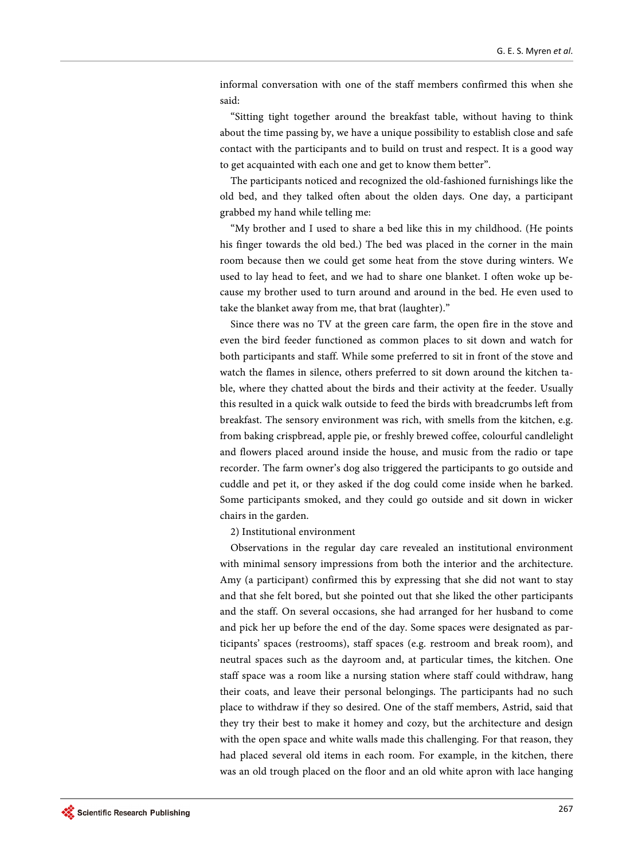informal conversation with one of the staff members confirmed this when she said:

"Sitting tight together around the breakfast table, without having to think about the time passing by, we have a unique possibility to establish close and safe contact with the participants and to build on trust and respect. It is a good way to get acquainted with each one and get to know them better".

The participants noticed and recognized the old-fashioned furnishings like the old bed, and they talked often about the olden days. One day, a participant grabbed my hand while telling me:

"My brother and I used to share a bed like this in my childhood. (He points his finger towards the old bed.) The bed was placed in the corner in the main room because then we could get some heat from the stove during winters. We used to lay head to feet, and we had to share one blanket. I often woke up because my brother used to turn around and around in the bed. He even used to take the blanket away from me, that brat (laughter)."

Since there was no TV at the green care farm, the open fire in the stove and even the bird feeder functioned as common places to sit down and watch for both participants and staff. While some preferred to sit in front of the stove and watch the flames in silence, others preferred to sit down around the kitchen table, where they chatted about the birds and their activity at the feeder. Usually this resulted in a quick walk outside to feed the birds with breadcrumbs left from breakfast. The sensory environment was rich, with smells from the kitchen, e.g. from baking crispbread, apple pie, or freshly brewed coffee, colourful candlelight and flowers placed around inside the house, and music from the radio or tape recorder. The farm owner's dog also triggered the participants to go outside and cuddle and pet it, or they asked if the dog could come inside when he barked. Some participants smoked, and they could go outside and sit down in wicker chairs in the garden.

2) Institutional environment

Observations in the regular day care revealed an institutional environment with minimal sensory impressions from both the interior and the architecture. Amy (a participant) confirmed this by expressing that she did not want to stay and that she felt bored, but she pointed out that she liked the other participants and the staff. On several occasions, she had arranged for her husband to come and pick her up before the end of the day. Some spaces were designated as participants' spaces (restrooms), staff spaces (e.g. restroom and break room), and neutral spaces such as the dayroom and, at particular times, the kitchen. One staff space was a room like a nursing station where staff could withdraw, hang their coats, and leave their personal belongings. The participants had no such place to withdraw if they so desired. One of the staff members, Astrid, said that they try their best to make it homey and cozy, but the architecture and design with the open space and white walls made this challenging. For that reason, they had placed several old items in each room. For example, in the kitchen, there was an old trough placed on the floor and an old white apron with lace hanging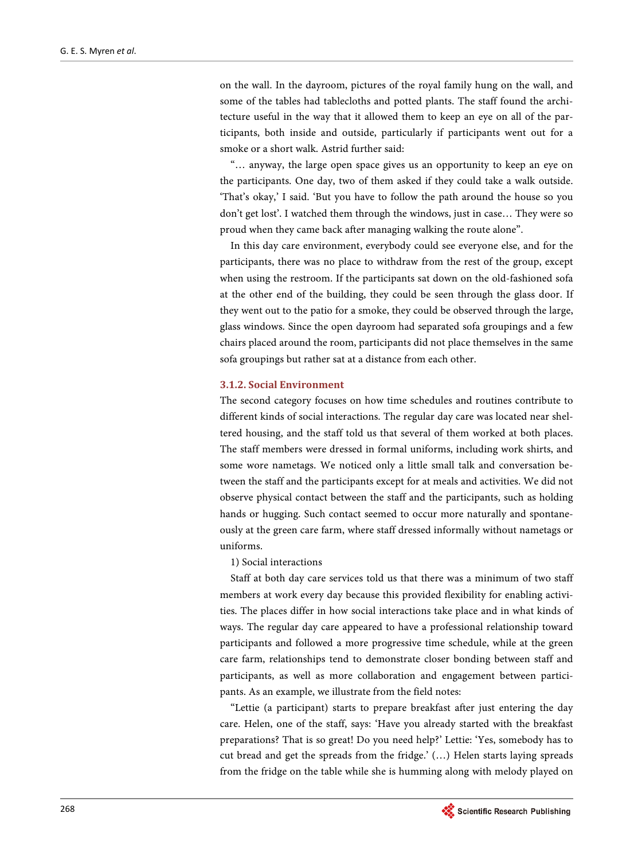on the wall. In the dayroom, pictures of the royal family hung on the wall, and some of the tables had tablecloths and potted plants. The staff found the architecture useful in the way that it allowed them to keep an eye on all of the participants, both inside and outside, particularly if participants went out for a smoke or a short walk. Astrid further said:

"… anyway, the large open space gives us an opportunity to keep an eye on the participants. One day, two of them asked if they could take a walk outside. 'That's okay,' I said. 'But you have to follow the path around the house so you don't get lost'. I watched them through the windows, just in case… They were so proud when they came back after managing walking the route alone".

In this day care environment, everybody could see everyone else, and for the participants, there was no place to withdraw from the rest of the group, except when using the restroom. If the participants sat down on the old-fashioned sofa at the other end of the building, they could be seen through the glass door. If they went out to the patio for a smoke, they could be observed through the large, glass windows. Since the open dayroom had separated sofa groupings and a few chairs placed around the room, participants did not place themselves in the same sofa groupings but rather sat at a distance from each other.

#### **3.1.2. Social Environment**

The second category focuses on how time schedules and routines contribute to different kinds of social interactions. The regular day care was located near sheltered housing, and the staff told us that several of them worked at both places. The staff members were dressed in formal uniforms, including work shirts, and some wore nametags. We noticed only a little small talk and conversation between the staff and the participants except for at meals and activities. We did not observe physical contact between the staff and the participants, such as holding hands or hugging. Such contact seemed to occur more naturally and spontaneously at the green care farm, where staff dressed informally without nametags or uniforms.

1) Social interactions

Staff at both day care services told us that there was a minimum of two staff members at work every day because this provided flexibility for enabling activities. The places differ in how social interactions take place and in what kinds of ways. The regular day care appeared to have a professional relationship toward participants and followed a more progressive time schedule, while at the green care farm, relationships tend to demonstrate closer bonding between staff and participants, as well as more collaboration and engagement between participants. As an example, we illustrate from the field notes:

"Lettie (a participant) starts to prepare breakfast after just entering the day care. Helen, one of the staff, says: 'Have you already started with the breakfast preparations? That is so great! Do you need help?' Lettie: 'Yes, somebody has to cut bread and get the spreads from the fridge.' (…) Helen starts laying spreads from the fridge on the table while she is humming along with melody played on

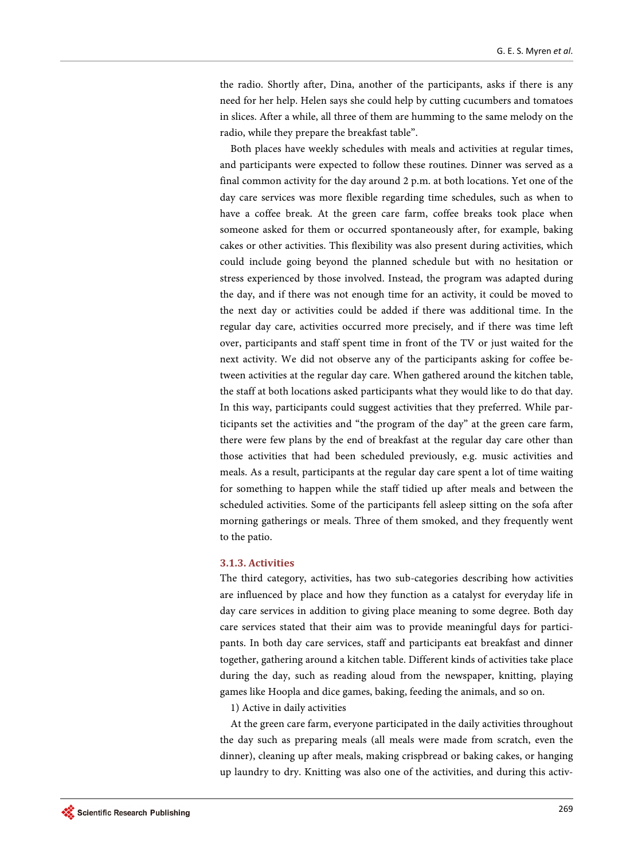the radio. Shortly after, Dina, another of the participants, asks if there is any need for her help. Helen says she could help by cutting cucumbers and tomatoes in slices. After a while, all three of them are humming to the same melody on the radio, while they prepare the breakfast table".

Both places have weekly schedules with meals and activities at regular times, and participants were expected to follow these routines. Dinner was served as a final common activity for the day around 2 p.m. at both locations. Yet one of the day care services was more flexible regarding time schedules, such as when to have a coffee break. At the green care farm, coffee breaks took place when someone asked for them or occurred spontaneously after, for example, baking cakes or other activities. This flexibility was also present during activities, which could include going beyond the planned schedule but with no hesitation or stress experienced by those involved. Instead, the program was adapted during the day, and if there was not enough time for an activity, it could be moved to the next day or activities could be added if there was additional time. In the regular day care, activities occurred more precisely, and if there was time left over, participants and staff spent time in front of the TV or just waited for the next activity. We did not observe any of the participants asking for coffee between activities at the regular day care. When gathered around the kitchen table, the staff at both locations asked participants what they would like to do that day. In this way, participants could suggest activities that they preferred. While participants set the activities and "the program of the day" at the green care farm, there were few plans by the end of breakfast at the regular day care other than those activities that had been scheduled previously, e.g. music activities and meals. As a result, participants at the regular day care spent a lot of time waiting for something to happen while the staff tidied up after meals and between the scheduled activities. Some of the participants fell asleep sitting on the sofa after morning gatherings or meals. Three of them smoked, and they frequently went to the patio.

### **3.1.3. Activities**

The third category, activities, has two sub-categories describing how activities are influenced by place and how they function as a catalyst for everyday life in day care services in addition to giving place meaning to some degree. Both day care services stated that their aim was to provide meaningful days for participants. In both day care services, staff and participants eat breakfast and dinner together, gathering around a kitchen table. Different kinds of activities take place during the day, such as reading aloud from the newspaper, knitting, playing games like Hoopla and dice games, baking, feeding the animals, and so on.

1) Active in daily activities

At the green care farm, everyone participated in the daily activities throughout the day such as preparing meals (all meals were made from scratch, even the dinner), cleaning up after meals, making crispbread or baking cakes, or hanging up laundry to dry. Knitting was also one of the activities, and during this activ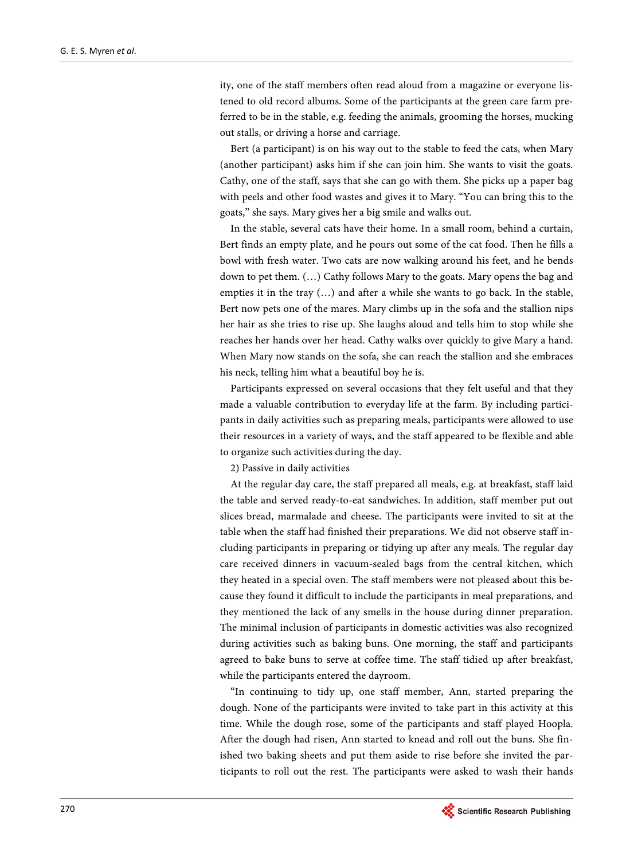ity, one of the staff members often read aloud from a magazine or everyone listened to old record albums. Some of the participants at the green care farm preferred to be in the stable, e.g. feeding the animals, grooming the horses, mucking out stalls, or driving a horse and carriage.

Bert (a participant) is on his way out to the stable to feed the cats, when Mary (another participant) asks him if she can join him. She wants to visit the goats. Cathy, one of the staff, says that she can go with them. She picks up a paper bag with peels and other food wastes and gives it to Mary. "You can bring this to the goats," she says. Mary gives her a big smile and walks out.

In the stable, several cats have their home. In a small room, behind a curtain, Bert finds an empty plate, and he pours out some of the cat food. Then he fills a bowl with fresh water. Two cats are now walking around his feet, and he bends down to pet them. (…) Cathy follows Mary to the goats. Mary opens the bag and empties it in the tray (…) and after a while she wants to go back. In the stable, Bert now pets one of the mares. Mary climbs up in the sofa and the stallion nips her hair as she tries to rise up. She laughs aloud and tells him to stop while she reaches her hands over her head. Cathy walks over quickly to give Mary a hand. When Mary now stands on the sofa, she can reach the stallion and she embraces his neck, telling him what a beautiful boy he is.

Participants expressed on several occasions that they felt useful and that they made a valuable contribution to everyday life at the farm. By including participants in daily activities such as preparing meals, participants were allowed to use their resources in a variety of ways, and the staff appeared to be flexible and able to organize such activities during the day.

2) Passive in daily activities

At the regular day care, the staff prepared all meals, e.g. at breakfast, staff laid the table and served ready-to-eat sandwiches. In addition, staff member put out slices bread, marmalade and cheese. The participants were invited to sit at the table when the staff had finished their preparations. We did not observe staff including participants in preparing or tidying up after any meals. The regular day care received dinners in vacuum-sealed bags from the central kitchen, which they heated in a special oven. The staff members were not pleased about this because they found it difficult to include the participants in meal preparations, and they mentioned the lack of any smells in the house during dinner preparation. The minimal inclusion of participants in domestic activities was also recognized during activities such as baking buns. One morning, the staff and participants agreed to bake buns to serve at coffee time. The staff tidied up after breakfast, while the participants entered the dayroom.

"In continuing to tidy up, one staff member, Ann, started preparing the dough. None of the participants were invited to take part in this activity at this time. While the dough rose, some of the participants and staff played Hoopla. After the dough had risen, Ann started to knead and roll out the buns. She finished two baking sheets and put them aside to rise before she invited the participants to roll out the rest. The participants were asked to wash their hands

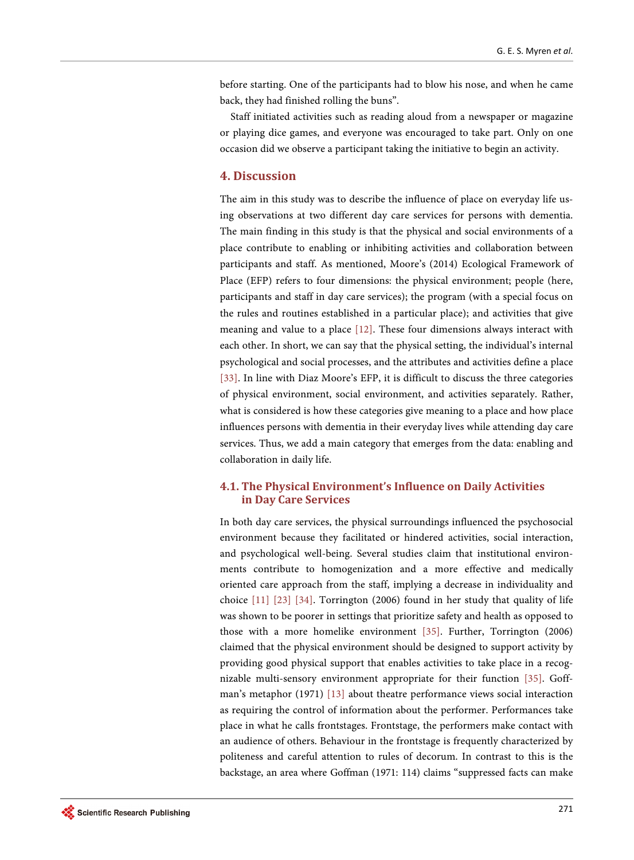before starting. One of the participants had to blow his nose, and when he came back, they had finished rolling the buns".

Staff initiated activities such as reading aloud from a newspaper or magazine or playing dice games, and everyone was encouraged to take part. Only on one occasion did we observe a participant taking the initiative to begin an activity.

# **4. Discussion**

The aim in this study was to describe the influence of place on everyday life using observations at two different day care services for persons with dementia. The main finding in this study is that the physical and social environments of a place contribute to enabling or inhibiting activities and collaboration between participants and staff. As mentioned, Moore's (2014) Ecological Framework of Place (EFP) refers to four dimensions: the physical environment; people (here, participants and staff in day care services); the program (with a special focus on the rules and routines established in a particular place); and activities that give meaning and value to a place [\[12\].](#page-15-11) These four dimensions always interact with each other. In short, we can say that the physical setting, the individual's internal psychological and social processes, and the attributes and activities define a place [\[33\].](#page-17-0) In line with Diaz Moore's EFP, it is difficult to discuss the three categories of physical environment, social environment, and activities separately. Rather, what is considered is how these categories give meaning to a place and how place influences persons with dementia in their everyday lives while attending day care services. Thus, we add a main category that emerges from the data: enabling and collaboration in daily life.

# **4.1. The Physical Environment's Influence on Daily Activities in Day Care Services**

In both day care services, the physical surroundings influenced the psychosocial environment because they facilitated or hindered activities, social interaction, and psychological well-being. Several studies claim that institutional environments contribute to homogenization and a more effective and medically oriented care approach from the staff, implying a decrease in individuality and choice [\[11\]](#page-15-10) [\[23\]](#page-16-7) [\[34\].](#page-17-1) Torrington (2006) found in her study that quality of life was shown to be poorer in settings that prioritize safety and health as opposed to those with a more homelike environment [\[35\].](#page-17-2) Further, Torrington (2006) claimed that the physical environment should be designed to support activity by providing good physical support that enables activities to take place in a recognizable multi-sensory environment appropriate for their function [\[35\].](#page-17-2) Goffman's metaphor (1971) [\[13\]](#page-15-12) about theatre performance views social interaction as requiring the control of information about the performer. Performances take place in what he calls frontstages. Frontstage, the performers make contact with an audience of others. Behaviour in the frontstage is frequently characterized by politeness and careful attention to rules of decorum. In contrast to this is the backstage, an area where Goffman (1971: 114) claims "suppressed facts can make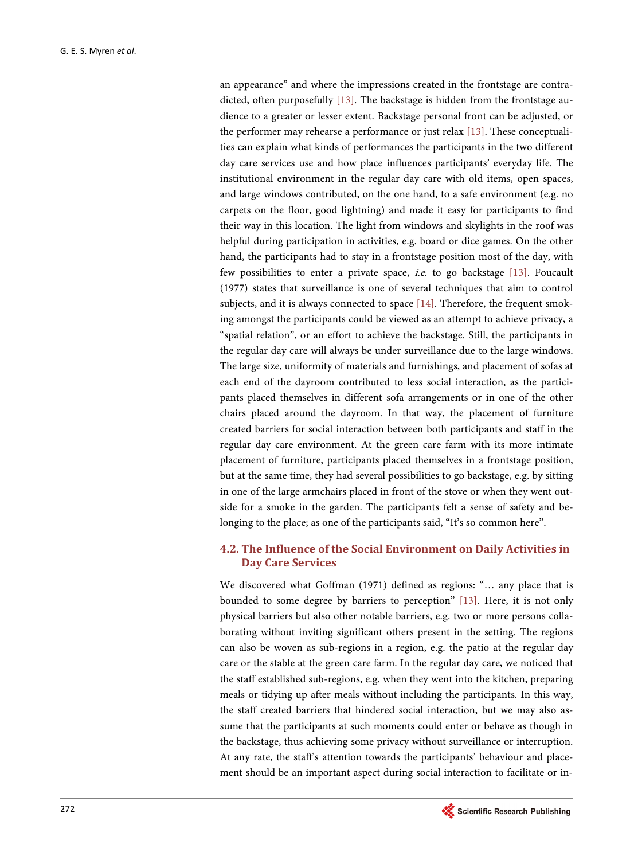an appearance" and where the impressions created in the frontstage are contradicted, often purposefully [\[13\].](#page-15-12) The backstage is hidden from the frontstage audience to a greater or lesser extent. Backstage personal front can be adjusted, or the performer may rehearse a performance or just relax [\[13\].](#page-15-12) These conceptualities can explain what kinds of performances the participants in the two different day care services use and how place influences participants' everyday life. The institutional environment in the regular day care with old items, open spaces, and large windows contributed, on the one hand, to a safe environment (e.g. no carpets on the floor, good lightning) and made it easy for participants to find their way in this location. The light from windows and skylights in the roof was helpful during participation in activities, e.g. board or dice games. On the other hand, the participants had to stay in a frontstage position most of the day, with few possibilities to enter a private space, i.e. to go backstage [\[13\].](#page-15-12) Foucault (1977) states that surveillance is one of several techniques that aim to control subjects, and it is always connected to space [\[14\].](#page-15-13) Therefore, the frequent smoking amongst the participants could be viewed as an attempt to achieve privacy, a "spatial relation", or an effort to achieve the backstage. Still, the participants in the regular day care will always be under surveillance due to the large windows. The large size, uniformity of materials and furnishings, and placement of sofas at each end of the dayroom contributed to less social interaction, as the participants placed themselves in different sofa arrangements or in one of the other chairs placed around the dayroom. In that way, the placement of furniture created barriers for social interaction between both participants and staff in the regular day care environment. At the green care farm with its more intimate placement of furniture, participants placed themselves in a frontstage position, but at the same time, they had several possibilities to go backstage, e.g. by sitting in one of the large armchairs placed in front of the stove or when they went outside for a smoke in the garden. The participants felt a sense of safety and belonging to the place; as one of the participants said, "It's so common here".

# **4.2. The Influence of the Social Environment on Daily Activities in Day Care Services**

We discovered what Goffman (1971) defined as regions: "… any place that is bounded to some degree by barriers to perception" [\[13\].](#page-15-12) Here, it is not only physical barriers but also other notable barriers, e.g. two or more persons collaborating without inviting significant others present in the setting. The regions can also be woven as sub-regions in a region, e.g. the patio at the regular day care or the stable at the green care farm. In the regular day care, we noticed that the staff established sub-regions, e.g. when they went into the kitchen, preparing meals or tidying up after meals without including the participants. In this way, the staff created barriers that hindered social interaction, but we may also assume that the participants at such moments could enter or behave as though in the backstage, thus achieving some privacy without surveillance or interruption. At any rate, the staff's attention towards the participants' behaviour and placement should be an important aspect during social interaction to facilitate or in-

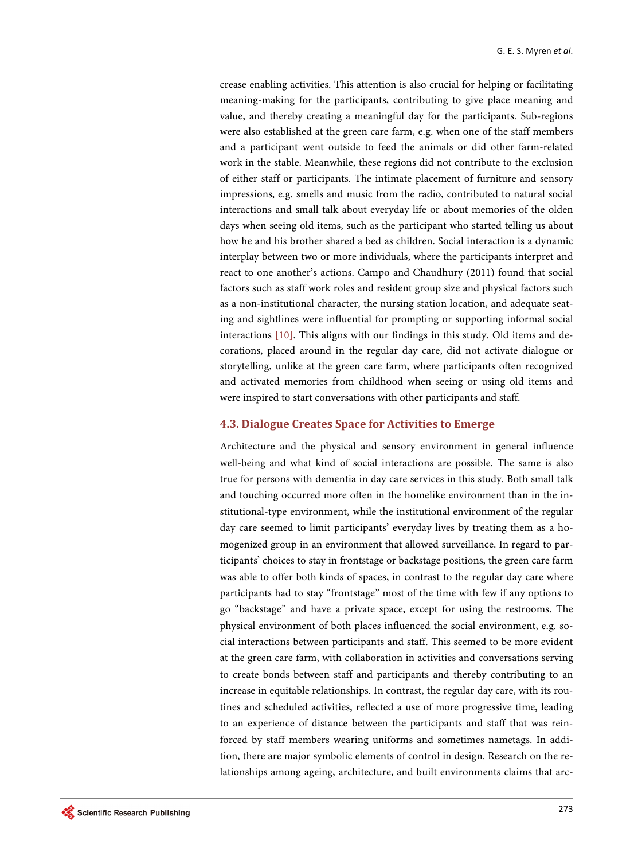crease enabling activities. This attention is also crucial for helping or facilitating meaning-making for the participants, contributing to give place meaning and value, and thereby creating a meaningful day for the participants. Sub-regions were also established at the green care farm, e.g. when one of the staff members and a participant went outside to feed the animals or did other farm-related work in the stable. Meanwhile, these regions did not contribute to the exclusion of either staff or participants. The intimate placement of furniture and sensory impressions, e.g. smells and music from the radio, contributed to natural social interactions and small talk about everyday life or about memories of the olden days when seeing old items, such as the participant who started telling us about how he and his brother shared a bed as children. Social interaction is a dynamic interplay between two or more individuals, where the participants interpret and react to one another's actions. Campo and Chaudhury (2011) found that social factors such as staff work roles and resident group size and physical factors such as a non-institutional character, the nursing station location, and adequate seating and sightlines were influential for prompting or supporting informal social interactions [\[10\].](#page-15-9) This aligns with our findings in this study. Old items and decorations, placed around in the regular day care, did not activate dialogue or storytelling, unlike at the green care farm, where participants often recognized and activated memories from childhood when seeing or using old items and were inspired to start conversations with other participants and staff.

## **4.3. Dialogue Creates Space for Activities to Emerge**

Architecture and the physical and sensory environment in general influence well-being and what kind of social interactions are possible. The same is also true for persons with dementia in day care services in this study. Both small talk and touching occurred more often in the homelike environment than in the institutional-type environment, while the institutional environment of the regular day care seemed to limit participants' everyday lives by treating them as a homogenized group in an environment that allowed surveillance. In regard to participants' choices to stay in frontstage or backstage positions, the green care farm was able to offer both kinds of spaces, in contrast to the regular day care where participants had to stay "frontstage" most of the time with few if any options to go "backstage" and have a private space, except for using the restrooms. The physical environment of both places influenced the social environment, e.g. social interactions between participants and staff. This seemed to be more evident at the green care farm, with collaboration in activities and conversations serving to create bonds between staff and participants and thereby contributing to an increase in equitable relationships. In contrast, the regular day care, with its routines and scheduled activities, reflected a use of more progressive time, leading to an experience of distance between the participants and staff that was reinforced by staff members wearing uniforms and sometimes nametags. In addition, there are major symbolic elements of control in design. Research on the relationships among ageing, architecture, and built environments claims that arc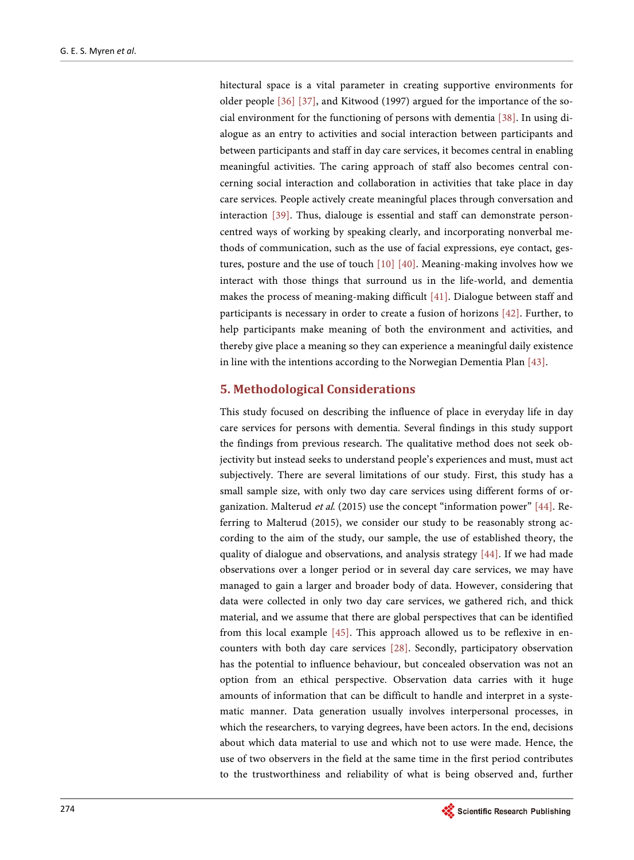hitectural space is a vital parameter in creating supportive environments for older people [\[36\]](#page-17-3) [\[37\],](#page-17-4) and Kitwood (1997) argued for the importance of the social environment for the functioning of persons with dementia [\[38\].](#page-17-5) In using dialogue as an entry to activities and social interaction between participants and between participants and staff in day care services, it becomes central in enabling meaningful activities. The caring approach of staff also becomes central concerning social interaction and collaboration in activities that take place in day care services. People actively create meaningful places through conversation and interaction [\[39\].](#page-17-6) Thus, dialouge is essential and staff can demonstrate personcentred ways of working by speaking clearly, and incorporating nonverbal methods of communication, such as the use of facial expressions, eye contact, gestures, posture and the use of touch [\[10\]](#page-15-9) [\[40\].](#page-17-7) Meaning-making involves how we interact with those things that surround us in the life-world, and dementia makes the process of meaning-making difficult [\[41\].](#page-17-8) Dialogue between staff and participants is necessary in order to create a fusion of horizons [\[42\].](#page-17-9) Further, to help participants make meaning of both the environment and activities, and thereby give place a meaning so they can experience a meaningful daily existence in line with the intentions according to the Norwegian Dementia Plan [\[43\].](#page-17-10) 

## **5. Methodological Considerations**

This study focused on describing the influence of place in everyday life in day care services for persons with dementia. Several findings in this study support the findings from previous research. The qualitative method does not seek objectivity but instead seeks to understand people's experiences and must, must act subjectively. There are several limitations of our study. First, this study has a small sample size, with only two day care services using different forms of or-ganization. Malterud et al. (2015) use the concept "information power" [\[44\].](#page-17-11) Referring to Malterud (2015), we consider our study to be reasonably strong according to the aim of the study, our sample, the use of established theory, the quality of dialogue and observations, and analysis strategy [\[44\].](#page-17-11) If we had made observations over a longer period or in several day care services, we may have managed to gain a larger and broader body of data. However, considering that data were collected in only two day care services, we gathered rich, and thick material, and we assume that there are global perspectives that can be identified from this local example [\[45\].](#page-17-12) This approach allowed us to be reflexive in encounters with both day care services [\[28\].](#page-16-12) Secondly, participatory observation has the potential to influence behaviour, but concealed observation was not an option from an ethical perspective. Observation data carries with it huge amounts of information that can be difficult to handle and interpret in a systematic manner. Data generation usually involves interpersonal processes, in which the researchers, to varying degrees, have been actors. In the end, decisions about which data material to use and which not to use were made. Hence, the use of two observers in the field at the same time in the first period contributes to the trustworthiness and reliability of what is being observed and, further

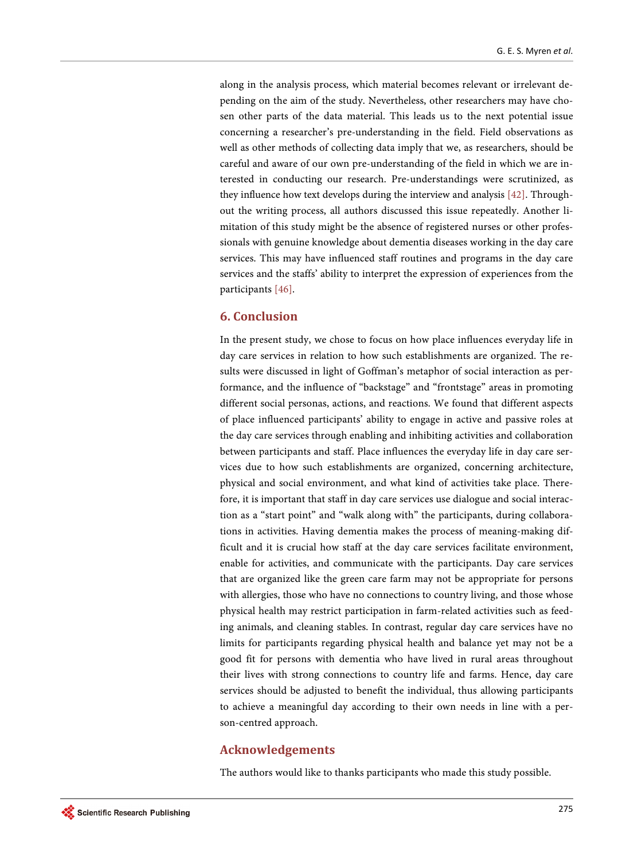along in the analysis process, which material becomes relevant or irrelevant depending on the aim of the study. Nevertheless, other researchers may have chosen other parts of the data material. This leads us to the next potential issue concerning a researcher's pre-understanding in the field. Field observations as well as other methods of collecting data imply that we, as researchers, should be careful and aware of our own pre-understanding of the field in which we are interested in conducting our research. Pre-understandings were scrutinized, as they influence how text develops during the interview and analysis [\[42\].](#page-17-9) Throughout the writing process, all authors discussed this issue repeatedly. Another limitation of this study might be the absence of registered nurses or other professionals with genuine knowledge about dementia diseases working in the day care services. This may have influenced staff routines and programs in the day care services and the staffs' ability to interpret the expression of experiences from the participants [\[46\].](#page-17-13)

# **6. Conclusion**

In the present study, we chose to focus on how place influences everyday life in day care services in relation to how such establishments are organized. The results were discussed in light of Goffman's metaphor of social interaction as performance, and the influence of "backstage" and "frontstage" areas in promoting different social personas, actions, and reactions. We found that different aspects of place influenced participants' ability to engage in active and passive roles at the day care services through enabling and inhibiting activities and collaboration between participants and staff. Place influences the everyday life in day care services due to how such establishments are organized, concerning architecture, physical and social environment, and what kind of activities take place. Therefore, it is important that staff in day care services use dialogue and social interaction as a "start point" and "walk along with" the participants, during collaborations in activities. Having dementia makes the process of meaning-making difficult and it is crucial how staff at the day care services facilitate environment, enable for activities, and communicate with the participants. Day care services that are organized like the green care farm may not be appropriate for persons with allergies, those who have no connections to country living, and those whose physical health may restrict participation in farm-related activities such as feeding animals, and cleaning stables. In contrast, regular day care services have no limits for participants regarding physical health and balance yet may not be a good fit for persons with dementia who have lived in rural areas throughout their lives with strong connections to country life and farms. Hence, day care services should be adjusted to benefit the individual, thus allowing participants to achieve a meaningful day according to their own needs in line with a person-centred approach.

# **Acknowledgements**

The authors would like to thanks participants who made this study possible.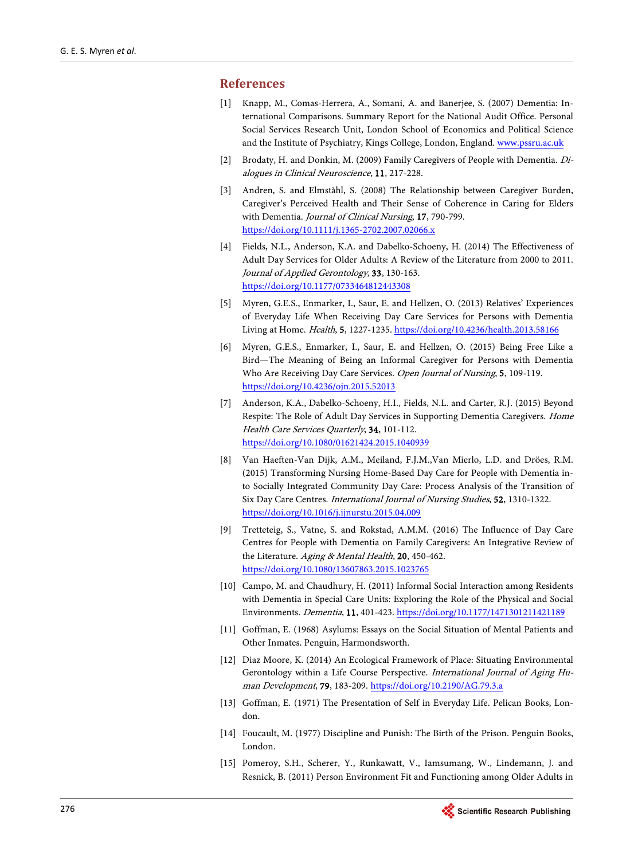## <span id="page-15-0"></span>**References**

- [1] Knapp, M., Comas-Herrera, A., Somani, A. and Banerjee, S. (2007) Dementia: International Comparisons. Summary Report for the National Audit Office. Personal Social Services Research Unit, London School of Economics and Political Science and the Institute of Psychiatry, Kings College, London, England. [www.pssru.ac.uk](http://www.pssru.ac.uk/)
- <span id="page-15-1"></span>[2] Brodaty, H. and Donkin, M. (2009) Family Caregivers of People with Dementia. Dialogues in Clinical Neuroscience, 11, 217-228.
- <span id="page-15-2"></span>[3] Andren, S. and Elmståhl, S. (2008) The Relationship between Caregiver Burden, Caregiver's Perceived Health and Their Sense of Coherence in Caring for Elders with Dementia. Journal of Clinical Nursing, 17, 790-799. <https://doi.org/10.1111/j.1365-2702.2007.02066.x>
- <span id="page-15-3"></span>[4] Fields, N.L., Anderson, K.A. and Dabelko-Schoeny, H. (2014) The Effectiveness of Adult Day Services for Older Adults: A Review of the Literature from 2000 to 2011. Journal of Applied Gerontology, 33, 130-163. <https://doi.org/10.1177/0733464812443308>
- <span id="page-15-4"></span>[5] Myren, G.E.S., Enmarker, I., Saur, E. and Hellzen, O. (2013) Relatives' Experiences of Everyday Life When Receiving Day Care Services for Persons with Dementia Living at Home. Health, 5, 1227-1235[. https://doi.org/10.4236/health.2013.58166](https://doi.org/10.4236/health.2013.58166)
- <span id="page-15-5"></span>[6] Myren, G.E.S., Enmarker, I., Saur, E. and Hellzen, O. (2015) Being Free Like a Bird—The Meaning of Being an Informal Caregiver for Persons with Dementia Who Are Receiving Day Care Services. Open Journal of Nursing, 5, 109-119. <https://doi.org/10.4236/ojn.2015.52013>
- <span id="page-15-6"></span>[7] Anderson, K.A., Dabelko-Schoeny, H.I., Fields, N.L. and Carter, R.J. (2015) Beyond Respite: The Role of Adult Day Services in Supporting Dementia Caregivers. Home Health Care Services Quarterly, 34, 101-112. <https://doi.org/10.1080/01621424.2015.1040939>
- <span id="page-15-7"></span>[8] Van Haeften-Van Dijk, A.M., Meiland, F.J.M.,Van Mierlo, L.D. and Dröes, R.M. (2015) Transforming Nursing Home-Based Day Care for People with Dementia into Socially Integrated Community Day Care: Process Analysis of the Transition of Six Day Care Centres. International Journal of Nursing Studies, 52, 1310-1322. <https://doi.org/10.1016/j.ijnurstu.2015.04.009>
- <span id="page-15-8"></span>[9] Tretteteig, S., Vatne, S. and Rokstad, A.M.M. (2016) The Influence of Day Care Centres for People with Dementia on Family Caregivers: An Integrative Review of the Literature. Aging & Mental Health, 20, 450-462. <https://doi.org/10.1080/13607863.2015.1023765>
- <span id="page-15-9"></span>[10] Campo, M. and Chaudhury, H. (2011) Informal Social Interaction among Residents with Dementia in Special Care Units: Exploring the Role of the Physical and Social Environments. Dementia, 11, 401-423.<https://doi.org/10.1177/1471301211421189>
- <span id="page-15-10"></span>[11] Goffman, E. (1968) Asylums: Essays on the Social Situation of Mental Patients and Other Inmates. Penguin, Harmondsworth.
- <span id="page-15-11"></span>[12] Diaz Moore, K. (2014) An Ecological Framework of Place: Situating Environmental Gerontology within a Life Course Perspective. International Journal of Aging Human Development, 79, 183-209. <https://doi.org/10.2190/AG.79.3.a>
- <span id="page-15-12"></span>[13] Goffman, E. (1971) The Presentation of Self in Everyday Life. Pelican Books, London.
- <span id="page-15-13"></span>[14] Foucault, M. (1977) Discipline and Punish: The Birth of the Prison. Penguin Books, London.
- <span id="page-15-14"></span>[15] Pomeroy, S.H., Scherer, Y., Runkawatt, V., Iamsumang, W., Lindemann, J. and Resnick, B. (2011) Person Environment Fit and Functioning among Older Adults in

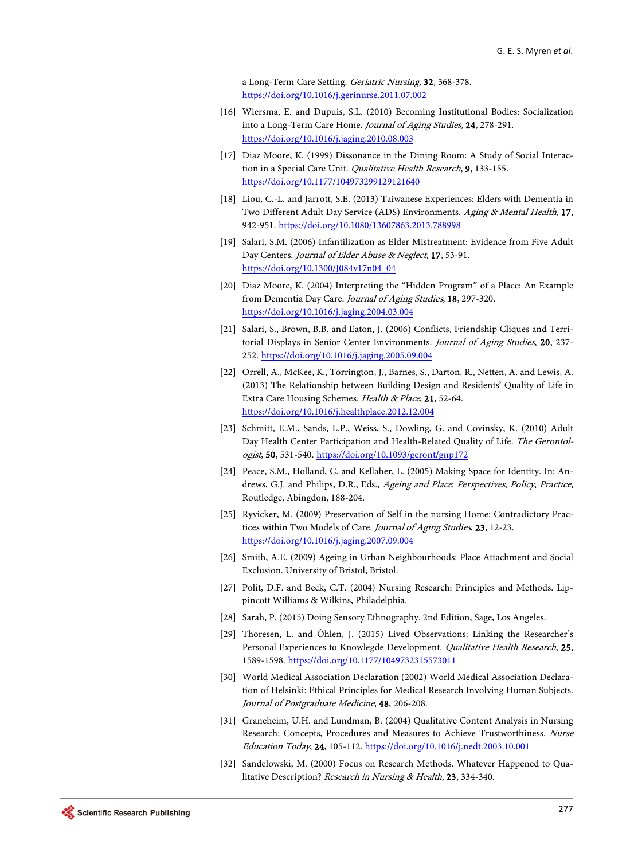a Long-Term Care Setting. Geriatric Nursing, 32, 368-378. <https://doi.org/10.1016/j.gerinurse.2011.07.002>

- <span id="page-16-0"></span>[16] Wiersma, E. and Dupuis, S.L. (2010) Becoming Institutional Bodies: Socialization into a Long-Term Care Home. Journal of Aging Studies, 24, 278-291. <https://doi.org/10.1016/j.jaging.2010.08.003>
- <span id="page-16-1"></span>[17] Diaz Moore, K. (1999) Dissonance in the Dining Room: A Study of Social Interaction in a Special Care Unit. Qualitative Health Research, 9, 133-155. <https://doi.org/10.1177/104973299129121640>
- <span id="page-16-2"></span>[18] Liou, C.-L. and Jarrott, S.E. (2013) Taiwanese Experiences: Elders with Dementia in Two Different Adult Day Service (ADS) Environments. Aging & Mental Health, 17, 942-951. <https://doi.org/10.1080/13607863.2013.788998>
- <span id="page-16-3"></span>[19] Salari, S.M. (2006) Infantilization as Elder Mistreatment: Evidence from Five Adult Day Centers. Journal of Elder Abuse & Neglect, 17, 53-91. [https://doi.org/10.1300/J084v17n04\\_04](https://doi.org/10.1300/J084v17n04_04)
- <span id="page-16-4"></span>[20] Diaz Moore, K. (2004) Interpreting the "Hidden Program" of a Place: An Example from Dementia Day Care. Journal of Aging Studies, 18, 297-320. <https://doi.org/10.1016/j.jaging.2004.03.004>
- <span id="page-16-5"></span>[21] Salari, S., Brown, B.B. and Eaton, J. (2006) Conflicts, Friendship Cliques and Territorial Displays in Senior Center Environments. Journal of Aging Studies, 20, 237-252. <https://doi.org/10.1016/j.jaging.2005.09.004>
- <span id="page-16-6"></span>[22] Orrell, A., McKee, K., Torrington, J., Barnes, S., Darton, R., Netten, A. and Lewis, A. (2013) The Relationship between Building Design and Residents' Quality of Life in Extra Care Housing Schemes. Health & Place, 21, 52-64. <https://doi.org/10.1016/j.healthplace.2012.12.004>
- <span id="page-16-7"></span>[23] Schmitt, E.M., Sands, L.P., Weiss, S., Dowling, G. and Covinsky, K. (2010) Adult Day Health Center Participation and Health-Related Quality of Life. The Gerontologist, 50, 531-540. <https://doi.org/10.1093/geront/gnp172>
- <span id="page-16-8"></span>[24] Peace, S.M., Holland, C. and Kellaher, L. (2005) Making Space for Identity. In: Andrews, G.J. and Philips, D.R., Eds., Ageing and Place. Perspectives, Policy, Practice, Routledge, Abingdon, 188-204.
- <span id="page-16-9"></span>[25] Ryvicker, M. (2009) Preservation of Self in the nursing Home: Contradictory Practices within Two Models of Care. Journal of Aging Studies, 23, 12-23. <https://doi.org/10.1016/j.jaging.2007.09.004>
- <span id="page-16-10"></span>[26] Smith, A.E. (2009) Ageing in Urban Neighbourhoods: Place Attachment and Social Exclusion. University of Bristol, Bristol.
- <span id="page-16-11"></span>[27] Polit, D.F. and Beck, C.T. (2004) Nursing Research: Principles and Methods. Lippincott Williams & Wilkins, Philadelphia.
- <span id="page-16-13"></span><span id="page-16-12"></span>[28] Sarah, P. (2015) Doing Sensory Ethnography. 2nd Edition, Sage, Los Angeles.
- [29] Thoresen, L. and Ôhlen, J. (2015) Lived Observations: Linking the Researcher's Personal Experiences to Knowlegde Development. Qualitative Health Research, 25, 1589-1598. <https://doi.org/10.1177/1049732315573011>
- <span id="page-16-14"></span>[30] World Medical Association Declaration (2002) World Medical Association Declaration of Helsinki: Ethical Principles for Medical Research Involving Human Subjects. Journal of Postgraduate Medicine, 48, 206-208.
- <span id="page-16-15"></span>[31] Graneheim, U.H. and Lundman, B. (2004) Qualitative Content Analysis in Nursing Research: Concepts, Procedures and Measures to Achieve Trustworthiness. Nurse Education Today, 24, 105-112.<https://doi.org/10.1016/j.nedt.2003.10.001>
- <span id="page-16-16"></span>[32] Sandelowski, M. (2000) Focus on Research Methods. Whatever Happened to Qualitative Description? Research in Nursing & Health, 23, 334-340.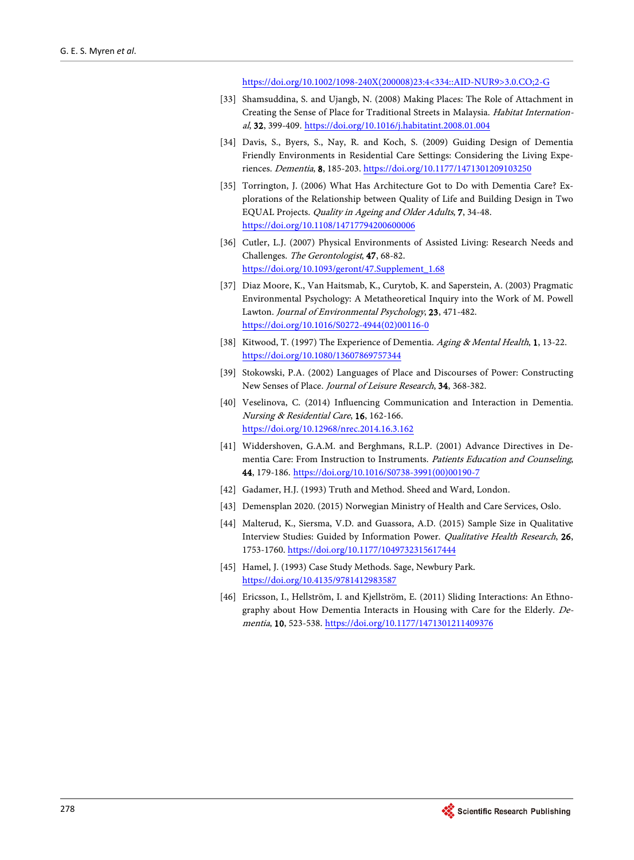[https://doi.org/10.1002/1098-240X\(200008\)23:4<334::AID-NUR9>3.0.CO;2-G](https://doi.org/10.1002/1098-240X(200008)23:4%3C334::AID-NUR9%3E3.0.CO;2-G)

- <span id="page-17-0"></span>[33] Shamsuddina, S. and Ujangb, N. (2008) Making Places: The Role of Attachment in Creating the Sense of Place for Traditional Streets in Malaysia. Habitat International, 32, 399-409. <https://doi.org/10.1016/j.habitatint.2008.01.004>
- <span id="page-17-1"></span>[34] Davis, S., Byers, S., Nay, R. and Koch, S. (2009) Guiding Design of Dementia Friendly Environments in Residential Care Settings: Considering the Living Experiences. Dementia, 8, 185-203[. https://doi.org/10.1177/1471301209103250](https://doi.org/10.1177/1471301209103250)
- <span id="page-17-2"></span>[35] Torrington, J. (2006) What Has Architecture Got to Do with Dementia Care? Explorations of the Relationship between Quality of Life and Building Design in Two EQUAL Projects. Quality in Ageing and Older Adults, 7, 34-48. <https://doi.org/10.1108/14717794200600006>
- <span id="page-17-3"></span>[36] Cutler, L.J. (2007) Physical Environments of Assisted Living: Research Needs and Challenges. The Gerontologist, 47, 68-82. [https://doi.org/10.1093/geront/47.Supplement\\_1.68](https://doi.org/10.1093/geront/47.Supplement_1.68)
- <span id="page-17-4"></span>[37] Diaz Moore, K., Van Haitsmab, K., Curytob, K. and Saperstein, A. (2003) Pragmatic Environmental Psychology: A Metatheoretical Inquiry into the Work of M. Powell Lawton. Journal of Environmental Psychology, 23, 471-482. [https://doi.org/10.1016/S0272-4944\(02\)00116-0](https://doi.org/10.1016/S0272-4944(02)00116-0)
- <span id="page-17-5"></span>[38] Kitwood, T. (1997) The Experience of Dementia. Aging & Mental Health, 1, 13-22. <https://doi.org/10.1080/13607869757344>
- <span id="page-17-6"></span>[39] Stokowski, P.A. (2002) Languages of Place and Discourses of Power: Constructing New Senses of Place. Journal of Leisure Research, 34, 368-382.
- <span id="page-17-7"></span>[40] Veselinova, C. (2014) Influencing Communication and Interaction in Dementia. Nursing & Residential Care, 16, 162-166. <https://doi.org/10.12968/nrec.2014.16.3.162>
- <span id="page-17-8"></span>[41] Widdershoven, G.A.M. and Berghmans, R.L.P. (2001) Advance Directives in Dementia Care: From Instruction to Instruments. Patients Education and Counseling, 44, 179-186. [https://doi.org/10.1016/S0738-3991\(00\)00190-7](https://doi.org/10.1016/S0738-3991(00)00190-7)
- <span id="page-17-9"></span>[42] Gadamer, H.J. (1993) Truth and Method. Sheed and Ward, London.
- <span id="page-17-10"></span>[43] Demensplan 2020. (2015) Norwegian Ministry of Health and Care Services, Oslo.
- <span id="page-17-11"></span>[44] Malterud, K., Siersma, V.D. and Guassora, A.D. (2015) Sample Size in Qualitative Interview Studies: Guided by Information Power. Qualitative Health Research, 26, 1753-1760[. https://doi.org/10.1177/1049732315617444](https://doi.org/10.1177/1049732315617444)
- <span id="page-17-12"></span>[45] Hamel, J. (1993) Case Study Methods. Sage, Newbury Park. <https://doi.org/10.4135/9781412983587>
- <span id="page-17-13"></span>[46] Ericsson, I., Hellström, I. and Kjellström, E. (2011) Sliding Interactions: An Ethnography about How Dementia Interacts in Housing with Care for the Elderly. Dementia, 10, 523-538. <https://doi.org/10.1177/1471301211409376>